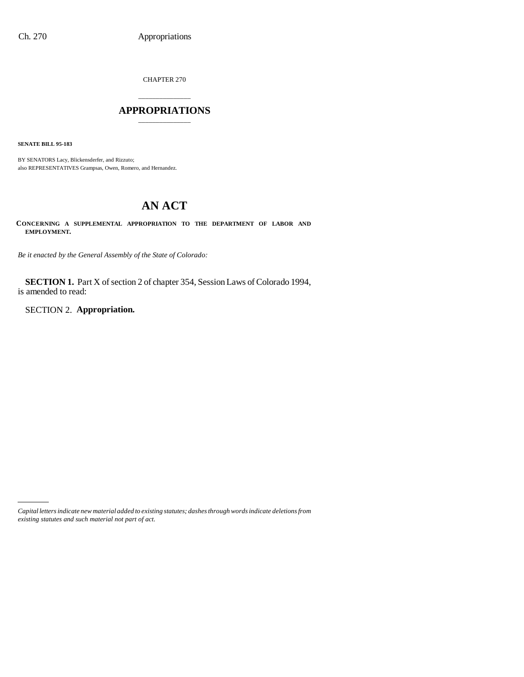CHAPTER 270

# \_\_\_\_\_\_\_\_\_\_\_\_\_\_\_ **APPROPRIATIONS** \_\_\_\_\_\_\_\_\_\_\_\_\_\_\_

**SENATE BILL 95-183**

BY SENATORS Lacy, Blickensderfer, and Rizzuto; also REPRESENTATIVES Grampsas, Owen, Romero, and Hernandez.

# **AN ACT**

**CONCERNING A SUPPLEMENTAL APPROPRIATION TO THE DEPARTMENT OF LABOR AND EMPLOYMENT.**

*Be it enacted by the General Assembly of the State of Colorado:*

**SECTION 1.** Part X of section 2 of chapter 354, Session Laws of Colorado 1994, is amended to read:

SECTION 2. **Appropriation.**

*Capital letters indicate new material added to existing statutes; dashes through words indicate deletions from existing statutes and such material not part of act.*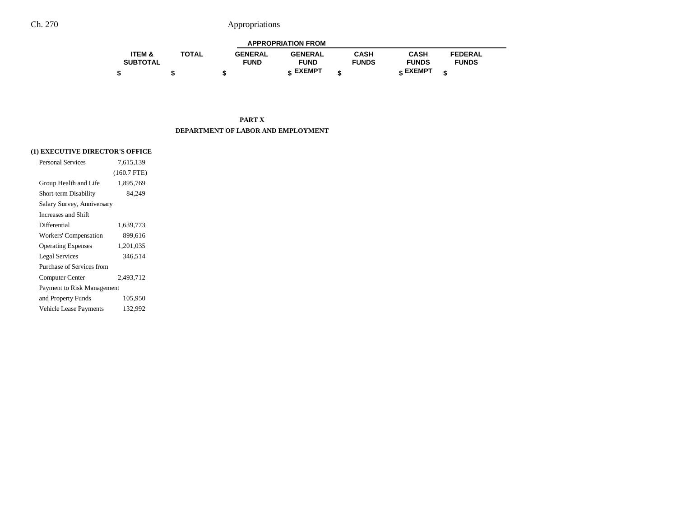|                   |              |                | <b>APPROPRIATION FROM</b> |              |              |                |  |
|-------------------|--------------|----------------|---------------------------|--------------|--------------|----------------|--|
| <b>ITEM &amp;</b> | <b>TOTAL</b> | <b>GENERAL</b> | <b>GENERAL</b>            | CASH         | CASH         | <b>FEDERAL</b> |  |
| <b>SUBTOTAL</b>   |              | <b>FUND</b>    | <b>FUND</b>               | <b>FUNDS</b> | <b>FUNDS</b> | <b>FUNDS</b>   |  |
|                   |              |                | <b>« EXEMPT</b>           |              | e EXEMPT     |                |  |

**PART X DEPARTMENT OF LABOR AND EMPLOYMENT**

## **(1) EXECUTIVE DIRECTOR'S OFFICE**

| <b>Personal Services</b>      | 7.615.139     |
|-------------------------------|---------------|
|                               | $(160.7$ FTE) |
| Group Health and Life         | 1,895,769     |
| Short-term Disability         | 84.249        |
| Salary Survey, Anniversary    |               |
| Increases and Shift           |               |
| Differential                  | 1.639.773     |
| Workers' Compensation         | 899,616       |
| <b>Operating Expenses</b>     | 1,201,035     |
| <b>Legal Services</b>         | 346.514       |
| Purchase of Services from     |               |
| Computer Center               | 2.493.712     |
| Payment to Risk Management    |               |
| and Property Funds            | 105,950       |
| <b>Vehicle Lease Payments</b> | 132.992       |
|                               |               |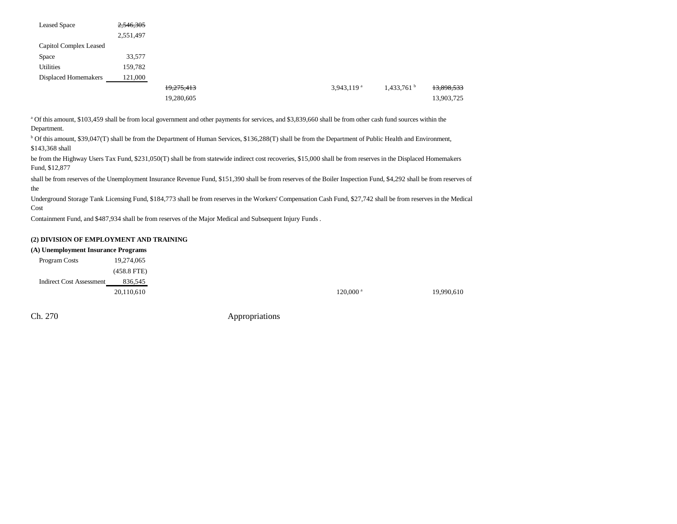| <b>Leased Space</b>    | 2,546,305 |            |  |                          |                          |            |
|------------------------|-----------|------------|--|--------------------------|--------------------------|------------|
|                        | 2,551,497 |            |  |                          |                          |            |
| Capitol Complex Leased |           |            |  |                          |                          |            |
| Space                  | 33,577    |            |  |                          |                          |            |
| Utilities              | 159,782   |            |  |                          |                          |            |
| Displaced Homemakers   | 121,000   |            |  |                          |                          |            |
|                        |           | 19,275,413 |  | $3,943,119$ <sup>a</sup> | $1,433,761$ <sup>b</sup> | 13,898,533 |
|                        |           | 19,280,605 |  |                          |                          | 13,903,725 |

a Of this amount, \$103,459 shall be from local government and other payments for services, and \$3,839,660 shall be from other cash fund sources within the Department.

b Of this amount, \$39,047(T) shall be from the Department of Human Services, \$136,288(T) shall be from the Department of Public Health and Environment, \$143,368 shall

be from the Highway Users Tax Fund, \$231,050(T) shall be from statewide indirect cost recoveries, \$15,000 shall be from reserves in the Displaced Homemakers Fund, \$12,877

shall be from reserves of the Unemployment Insurance Revenue Fund, \$151,390 shall be from reserves of the Boiler Inspection Fund, \$4,292 shall be from reserves of the

Underground Storage Tank Licensing Fund, \$184,773 shall be from reserves in the Workers' Compensation Cash Fund, \$27,742 shall be from reserves in the Medical Cost

Containment Fund, and \$487,934 shall be from reserves of the Major Medical and Subsequent Injury Funds .

## **(2) DIVISION OF EMPLOYMENT AND TRAINING**

#### **(A) Unemployment Insurance Programs**

| <b>Program Costs</b>            | 19,274,065    |                        |            |
|---------------------------------|---------------|------------------------|------------|
|                                 | $(458.8$ FTE) |                        |            |
| <b>Indirect Cost Assessment</b> | 836,545       |                        |            |
|                                 | 20,110,610    | $120,000$ <sup>a</sup> | 19,990,610 |

Ch. 270 Appropriations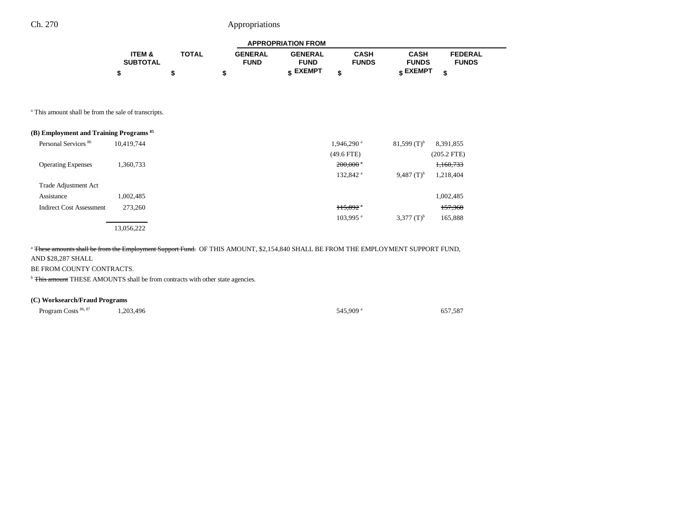|                   |              |                | <b>APPROPRIATION FROM</b> |              |              |                |  |
|-------------------|--------------|----------------|---------------------------|--------------|--------------|----------------|--|
| <b>ITEM &amp;</b> | <b>TOTAL</b> | <b>GENERAL</b> | <b>GENERAL</b>            | <b>CASH</b>  | <b>CASH</b>  | <b>FEDERAL</b> |  |
| <b>SUBTOTAL</b>   |              | <b>FUND</b>    | <b>FUND</b>               | <b>FUNDS</b> | <b>FUNDS</b> | <b>FUNDS</b>   |  |
|                   |              |                | <b>« EXEMPT</b>           |              | е EXEMPT     |                |  |

a This amount shall be from the sale of transcripts.

| (B) Employment and Training Programs <sup>85</sup> |            |                        |                           |               |
|----------------------------------------------------|------------|------------------------|---------------------------|---------------|
| Personal Services 86                               | 10.419.744 | 1,946,290 <sup>a</sup> | $81,599$ (T) <sup>b</sup> | 8,391,855     |
|                                                    |            | $(49.6$ FTE)           |                           | $(205.2$ FTE) |
| <b>Operating Expenses</b>                          | 1,360,733  | $200,000$ $^*$         |                           | 1,160,733     |
|                                                    |            | 132,842 <sup>a</sup>   | 9,487 $(T)^b$             | 1,218,404     |
| Trade Adjustment Act                               |            |                        |                           |               |
| Assistance                                         | 1,002,485  |                        |                           | 1,002,485     |
| <b>Indirect Cost Assessment</b>                    | 273,260    | $115,892$ <sup>a</sup> |                           | 157,368       |
|                                                    |            | 103,995 <sup>a</sup>   | $3,377$ $(T)^{b}$         | 165,888       |
|                                                    | 13,056,222 |                        |                           |               |

<sup>a</sup> These amounts shall be from the Employment Support Fund. OF THIS AMOUNT, \$2,154,840 SHALL BE FROM THE EMPLOYMENT SUPPORT FUND, AND \$28,287 SHALL

#### BE FROM COUNTY CONTRACTS.

<sup>b</sup> This amount THESE AMOUNTS shall be from contracts with other state agencies.

## **(C) Worksearch/Fraud Programs**

Program Costs <sup>86, 87</sup> 1,203,496 545,909 a 657,587

٠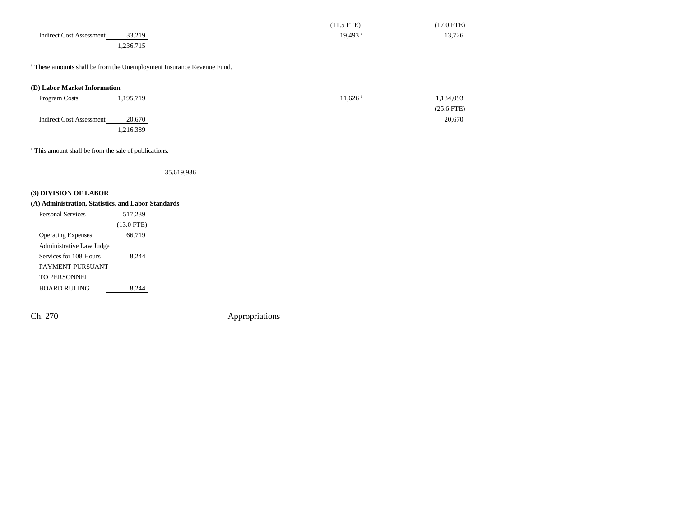|                                 |           | $(11.5$ FTE)          | $(17.0 \text{ FTE})$ |
|---------------------------------|-----------|-----------------------|----------------------|
| <b>Indirect Cost Assessment</b> | 33,219    | $19,493$ <sup>a</sup> | 13,726               |
|                                 | 1,236,715 |                       |                      |

<sup>a</sup> These amounts shall be from the Unemployment Insurance Revenue Fund.

#### **(D) Labor Market Information**

| Program Costs                   | 1,195,719 | 11.626 ª | 1,184,093    |
|---------------------------------|-----------|----------|--------------|
|                                 |           |          | $(25.6$ FTE) |
| <b>Indirect Cost Assessment</b> | 20,670    |          | 20,670       |
|                                 | .216,389  |          |              |

<sup>a</sup> This amount shall be from the sale of publications.

35,619,936

## **(3) DIVISION OF LABOR**

## **(A) Administration, Statistics, and Labor Standards**

| <b>Personal Services</b>  | 517,239      |  |
|---------------------------|--------------|--|
|                           | $(13.0$ FTE) |  |
| <b>Operating Expenses</b> | 66,719       |  |
| Administrative Law Judge  |              |  |
| Services for 108 Hours    | 8.244        |  |
| PAYMENT PURSUANT          |              |  |
| TO PERSONNEL              |              |  |
| BOARD RULING              | 8.24         |  |

Ch. 270 Appropriations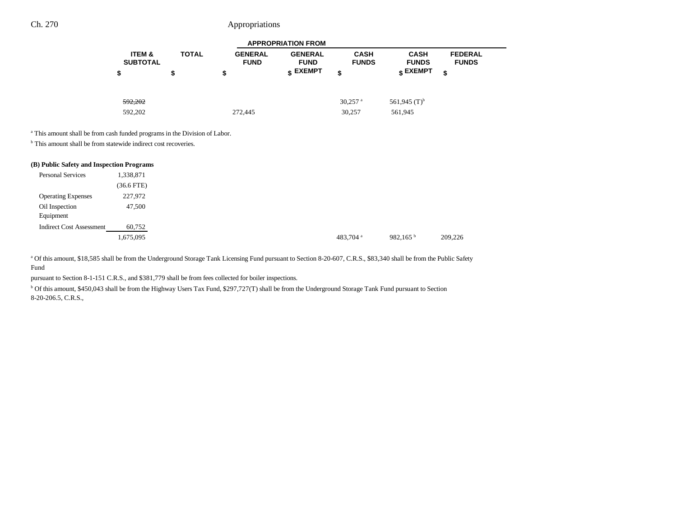|                           |              |                               | <b>APPROPRIATION FROM</b>     |                             |                             |                                |
|---------------------------|--------------|-------------------------------|-------------------------------|-----------------------------|-----------------------------|--------------------------------|
| ITEM &<br><b>SUBTOTAL</b> | <b>TOTAL</b> | <b>GENERAL</b><br><b>FUND</b> | <b>GENERAL</b><br><b>FUND</b> | <b>CASH</b><br><b>FUNDS</b> | <b>CASH</b><br><b>FUNDS</b> | <b>FEDERAL</b><br><b>FUNDS</b> |
| \$                        | \$           | \$                            | $_{\textsf{s}}$ EXEMPT        | \$                          | EXEMPT ۽                    | \$                             |
| 592.202                   |              |                               |                               | $30.257$ <sup>a</sup>       | 561,945 $(T)^{b}$           |                                |
| 592,202                   |              | 272,445                       |                               | 30,257                      | 561,945                     |                                |

<sup>a</sup> This amount shall be from cash funded programs in the Division of Labor.

<sup>b</sup> This amount shall be from statewide indirect cost recoveries.

## **(B) Public Safety and Inspection Programs**

| <b>Personal Services</b>        | 1,338,871    |
|---------------------------------|--------------|
|                                 | $(36.6$ FTE) |
| <b>Operating Expenses</b>       | 227,972      |
| Oil Inspection                  | 47,500       |
| Equipment                       |              |
| <b>Indirect Cost Assessment</b> | 60,752       |
|                                 | 1,675,095    |

a Of this amount, \$18,585 shall be from the Underground Storage Tank Licensing Fund pursuant to Section 8-20-607, C.R.S., \$83,340 shall be from the Public Safety Fund

pursuant to Section 8-1-151 C.R.S., and \$381,779 shall be from fees collected for boiler inspections.

<sup>b</sup> Of this amount, \$450,043 shall be from the Highway Users Tax Fund, \$297,727(T) shall be from the Underground Storage Tank Fund pursuant to Section 8-20-206.5, C.R.S.,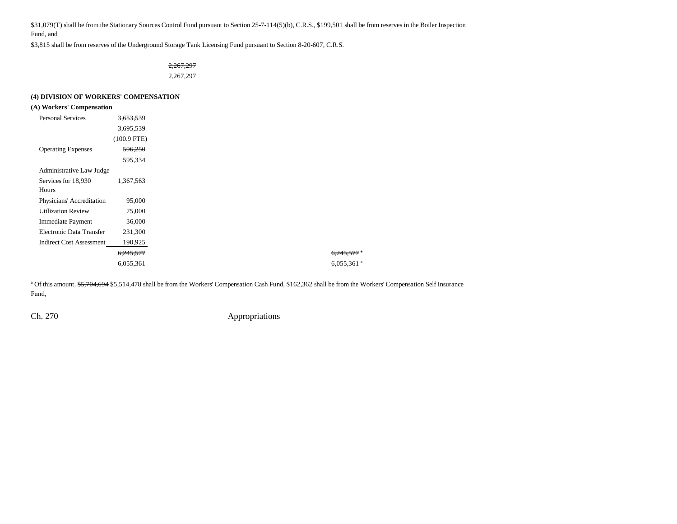\$31,079(T) shall be from the Stationary Sources Control Fund pursuant to Section 25-7-114(5)(b), C.R.S., \$199,501 shall be from reserves in the Boiler Inspection Fund, and

\$3,815 shall be from reserves of the Underground Storage Tank Licensing Fund pursuant to Section 8-20-607, C.R.S.

2,267,297 2,267,297

## **(4) DIVISION OF WORKERS' COMPENSATION**

## **(A) Workers' Compensation**

| <b>Personal Services</b>        | <del>3.653.539</del> |
|---------------------------------|----------------------|
|                                 | 3,695,539            |
|                                 | $(100.9$ FTE)        |
| <b>Operating Expenses</b>       | 596,250              |
|                                 | 595,334              |
| Administrative Law Judge        |                      |
| Services for 18,930             | 1,367,563            |
| Hours                           |                      |
| Physicians' Accreditation       | 95,000               |
| <b>Utilization Review</b>       | 75,000               |
| <b>Immediate Payment</b>        | 36,000               |
| Electronic Data Transfer        | 231,300              |
| <b>Indirect Cost Assessment</b> | 190,925              |
|                                 | 6,245,577            |
|                                 | 6,055,361            |

<sup>a</sup> Of this amount, \$5,704,694 \$5,514,478 shall be from the Workers' Compensation Cash Fund, \$162,362 shall be from the Workers' Compensation Self Insurance Fund,

Ch. 270 Appropriations

 $6,245,577$ <sup>a</sup> 6,055,361 $a$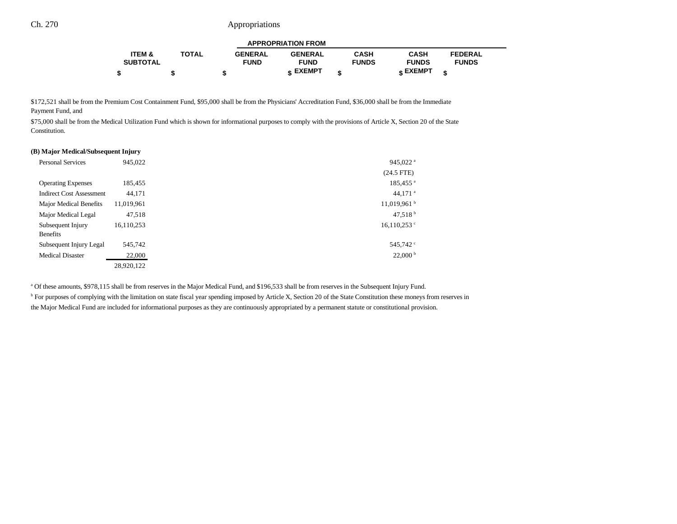|                   | <b>APPROPRIATION FROM</b> |                |                |              |                 |                |  |
|-------------------|---------------------------|----------------|----------------|--------------|-----------------|----------------|--|
| <b>ITEM &amp;</b> | <b>TOTAL</b>              | <b>GENERAL</b> | <b>GENERAL</b> | CASH         | <b>CASH</b>     | <b>FEDERAL</b> |  |
| <b>SUBTOTAL</b>   |                           | <b>FUND</b>    | <b>FUND</b>    | <b>FUNDS</b> | <b>FUNDS</b>    | <b>FUNDS</b>   |  |
|                   |                           |                | c EXEMPT       |              | <b>« EXEMPT</b> |                |  |

\$172,521 shall be from the Premium Cost Containment Fund, \$95,000 shall be from the Physicians' Accreditation Fund, \$36,000 shall be from the Immediate Payment Fund, and

\$75,000 shall be from the Medical Utilization Fund which is shown for informational purposes to comply with the provisions of Article X, Section 20 of the State Constitution.

#### **(B) Major Medical/Subsequent Injury**

| <b>Personal Services</b>        | 945.022    | 945,022 $a$               |
|---------------------------------|------------|---------------------------|
|                                 |            | $(24.5$ FTE)              |
| <b>Operating Expenses</b>       | 185,455    | 185,455 <sup>a</sup>      |
| <b>Indirect Cost Assessment</b> | 44.171     | 44,171 $^a$               |
| Major Medical Benefits          | 11,019,961 | $11,019,961$ <sup>b</sup> |
| Major Medical Legal             | 47.518     | 47,518 $^{\rm b}$         |
| Subsequent Injury               | 16,110,253 | $16,110,253$ °            |
| <b>Benefits</b>                 |            |                           |
| Subsequent Injury Legal         | 545,742    | 545,742 <sup>c</sup>      |
| <b>Medical Disaster</b>         | 22,000     | $22,000^{\mathrm{b}}$     |
|                                 | 28.920.122 |                           |

a Of these amounts, \$978,115 shall be from reserves in the Major Medical Fund, and \$196,533 shall be from reserves in the Subsequent Injury Fund.

<sup>b</sup> For purposes of complying with the limitation on state fiscal year spending imposed by Article X, Section 20 of the State Constitution these moneys from reserves in the Major Medical Fund are included for informational purposes as they are continuously appropriated by a permanent statute or constitutional provision.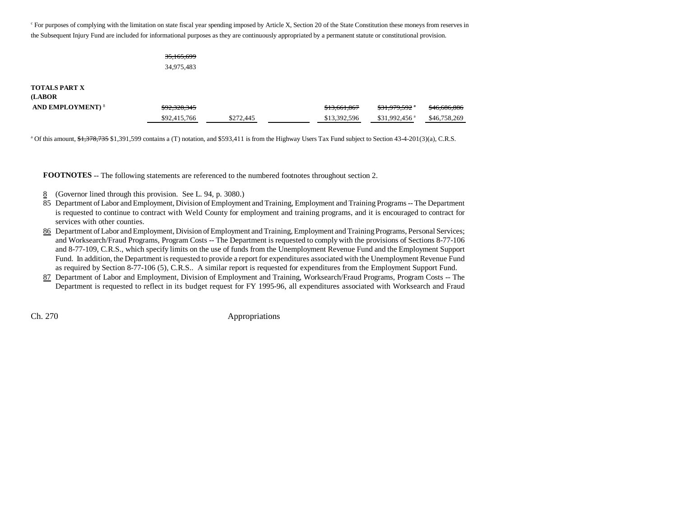<sup>c</sup> For purposes of complying with the limitation on state fiscal year spending imposed by Article X, Section 20 of the State Constitution these moneys from reserves in the Subsequent Injury Fund are included for informational purposes as they are continuously appropriated by a permanent statute or constitutional provision.

# 35,165,699 34,975,483

## **TOTALS PART X**

**(LABOR**

| <b>AND EMPLOYMENT)</b> <sup>8</sup> | <del>\$92,328,345</del> |           | \$13,661,867 | \$31.979.592 <sup>a</sup>  | \$46,686,886 |
|-------------------------------------|-------------------------|-----------|--------------|----------------------------|--------------|
|                                     | \$92,415,766            | \$272,445 | \$13,392,596 | $$31.992.456$ <sup>a</sup> | \$46,758,269 |

<sup>a</sup> Of this amount,  $\frac{41,378,735}{1,391,599}$  contains a (T) notation, and \$593,411 is from the Highway Users Tax Fund subject to Section 43-4-201(3)(a), C.R.S.

**FOOTNOTES** -- The following statements are referenced to the numbered footnotes throughout section 2.

- 8(Governor lined through this provision. See L. 94, p. 3080.)
- 85 Department of Labor and Employment, Division of Employment and Training, Employment and Training Programs -- The Department is requested to continue to contract with Weld County for employment and training programs, and it is encouraged to contract for services with other counties.
- 86 Department of Labor and Employment, Division of Employment and Training, Employment and Training Programs, Personal Services; and Worksearch/Fraud Programs, Program Costs -- The Department is requested to comply with the provisions of Sections 8-77-106 and 8-77-109, C.R.S., which specify limits on the use of funds from the Unemployment Revenue Fund and the Employment Support Fund. In addition, the Department is requested to provide a report for expenditures associated with the Unemployment Revenue Fund as required by Section 8-77-106 (5), C.R.S.. A similar report is requested for expenditures from the Employment Support Fund.
- 87 Department of Labor and Employment, Division of Employment and Training, Worksearch/Fraud Programs, Program Costs -- The Department is requested to reflect in its budget request for FY 1995-96, all expenditures associated with Worksearch and Fraud

Ch. 270 Appropriations